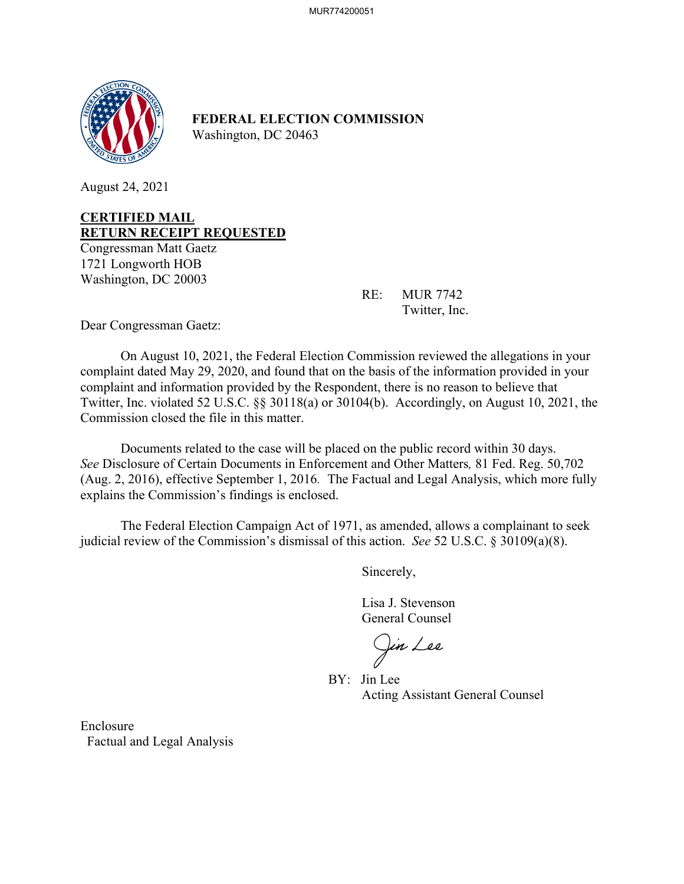

**FEDERAL ELECTION COMMISSION** Washington, DC 20463

August 24, 2021

### **CERTIFIED MAIL RETURN RECEIPT REQUESTED**

Congressman Matt Gaetz 1721 Longworth HOB Washington, DC 20003

> RE: MUR 7742 Twitter, Inc.

Dear Congressman Gaetz:

On August 10, 2021, the Federal Election Commission reviewed the allegations in your complaint dated May 29, 2020, and found that on the basis of the information provided in your complaint and information provided by the Respondent, there is no reason to believe that Twitter, Inc. violated 52 U.S.C. §§ 30118(a) or 30104(b). Accordingly, on August 10, 2021, the Commission closed the file in this matter.

 Documents related to the case will be placed on the public record within 30 days. *See* Disclosure of Certain Documents in Enforcement and Other Matters*,* 81 Fed. Reg. 50,702 (Aug. 2, 2016), effective September 1, 2016. The Factual and Legal Analysis, which more fully explains the Commission's findings is enclosed.

 The Federal Election Campaign Act of 1971, as amended, allows a complainant to seek judicial review of the Commission's dismissal of this action. *See* 52 U.S.C. § 30109(a)(8).

Sincerely,

 Lisa J. Stevenson General Counsel

(Jin Lee

 BY: Jin Lee Acting Assistant General Counsel

Enclosure Factual and Legal Analysis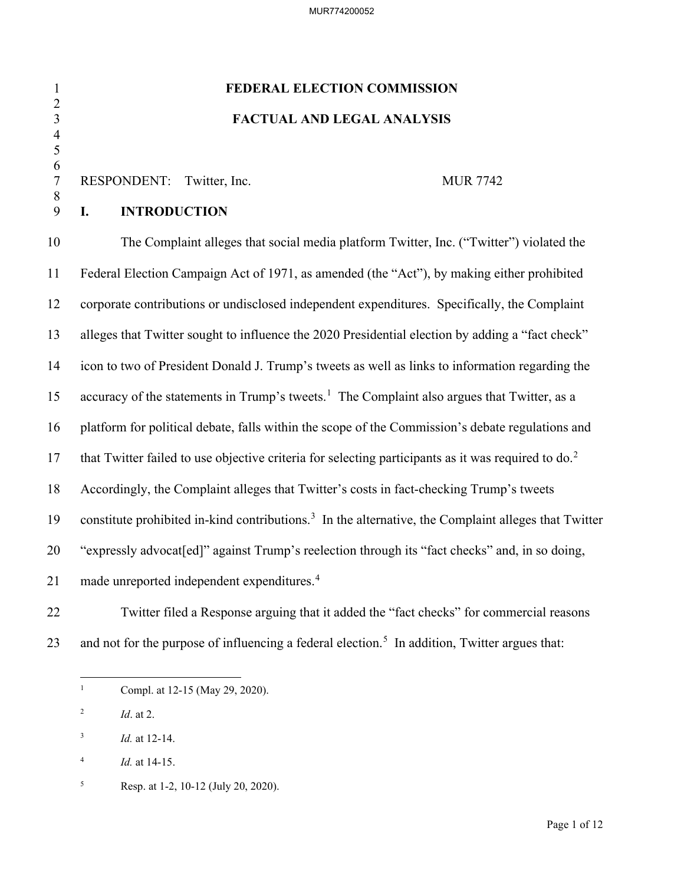# 1 **FEDERAL ELECTION COMMISSION** 3 **FACTUAL AND LEGAL ANALYSIS**

### RESPONDENT: Twitter, Inc. MUR 7742

### 9 **I. INTRODUCTION**

 $\frac{2}{3}$ 

 4 5  $\frac{6}{7}$ 

8

10 The Complaint alleges that social media platform Twitter, Inc. ("Twitter") violated the 11 Federal Election Campaign Act of 1971, as amended (the "Act"), by making either prohibited 12 corporate contributions or undisclosed independent expenditures. Specifically, the Complaint 13 alleges that Twitter sought to influence the 2020 Presidential election by adding a "fact check" 14 icon to two of President Donald J. Trump's tweets as well as links to information regarding the [1](#page-1-0)5 accuracy of the statements in Trump's tweets.<sup>1</sup> The Complaint also argues that Twitter, as a 16 platform for political debate, falls within the scope of the Commission's debate regulations and 17 that Twitter failed to use objective criteria for selecting participants as it was required to  $\delta$ . 18 Accordingly, the Complaint alleges that Twitter's costs in fact-checking Trump's tweets 19 constitute prohibited in-kind contributions.<sup>3</sup> In the alternative, the Complaint alleges that Twitter 20 "expressly advocat[ed]" against Trump's reelection through its "fact checks" and, in so doing, 21 made unreported independent expenditures.<sup>[4](#page-1-3)</sup>

22 Twitter filed a Response arguing that it added the "fact checks" for commercial reasons 23 and not for the purpose of influencing a federal election.<sup>[5](#page-1-4)</sup> In addition, Twitter argues that:

<span id="page-1-0"></span><sup>1</sup> Compl. at 12-15 (May 29, 2020).

<span id="page-1-1"></span><sup>2</sup> *Id*. at 2.

<span id="page-1-2"></span><sup>3</sup> *Id.* at 12-14.

<span id="page-1-3"></span><sup>4</sup> *Id.* at 14-15.

<span id="page-1-4"></span><sup>5</sup> Resp. at 1-2, 10-12 (July 20, 2020).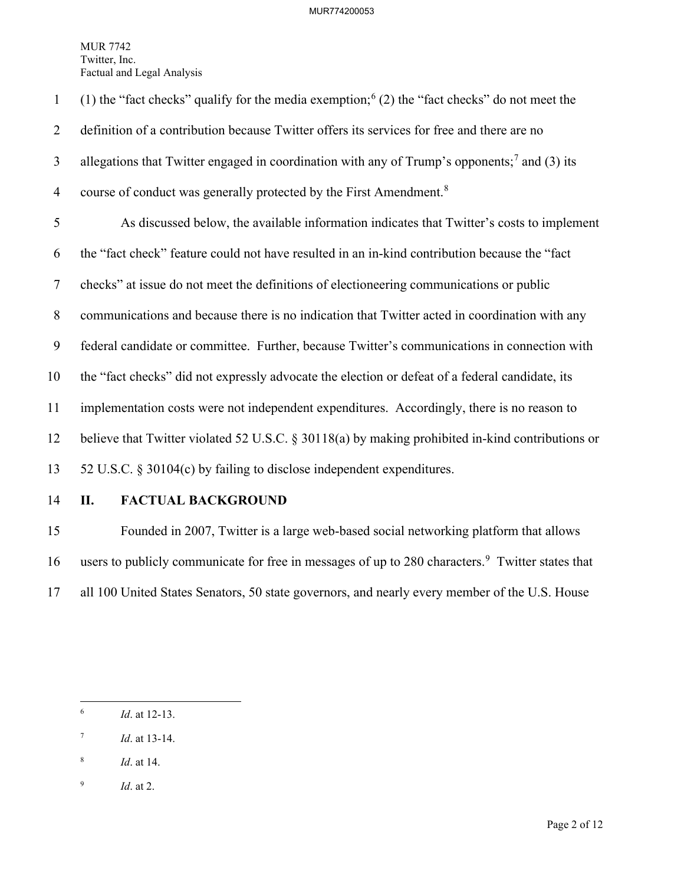(1) the "fact checks" qualify for the media exemption;  $(2)$  the "fact checks" do not meet the 2 definition of a contribution because Twitter offers its services for free and there are no 3 allegations that Twitter engaged in coordination with any of Trump's opponents;<sup>[7](#page-2-1)</sup> and (3) its 4 course of conduct was generally protected by the First Amendment.<sup>[8](#page-2-2)</sup> 5 As discussed below, the available information indicates that Twitter's costs to implement 6 the "fact check" feature could not have resulted in an in-kind contribution because the "fact 7 checks" at issue do not meet the definitions of electioneering communications or public 8 communications and because there is no indication that Twitter acted in coordination with any 9 federal candidate or committee. Further, because Twitter's communications in connection with 10 the "fact checks" did not expressly advocate the election or defeat of a federal candidate, its 11 implementation costs were not independent expenditures. Accordingly, there is no reason to 12 believe that Twitter violated 52 U.S.C. § 30118(a) by making prohibited in-kind contributions or 13 52 U.S.C. § 30104(c) by failing to disclose independent expenditures.

### 14 **II. FACTUAL BACKGROUND**

15 Founded in 2007, Twitter is a large web-based social networking platform that allows 16 users to publicly communicate for free in messages of up to 280 characters.<sup>[9](#page-2-3)</sup> Twitter states that 17 all 100 United States Senators, 50 state governors, and nearly every member of the U.S. House

<span id="page-2-2"></span>8 *Id*. at 14.

<span id="page-2-0"></span><sup>6</sup> *Id*. at 12-13.

<span id="page-2-1"></span><sup>7</sup> *Id*. at 13-14.

<span id="page-2-3"></span><sup>9</sup> *Id*. at 2.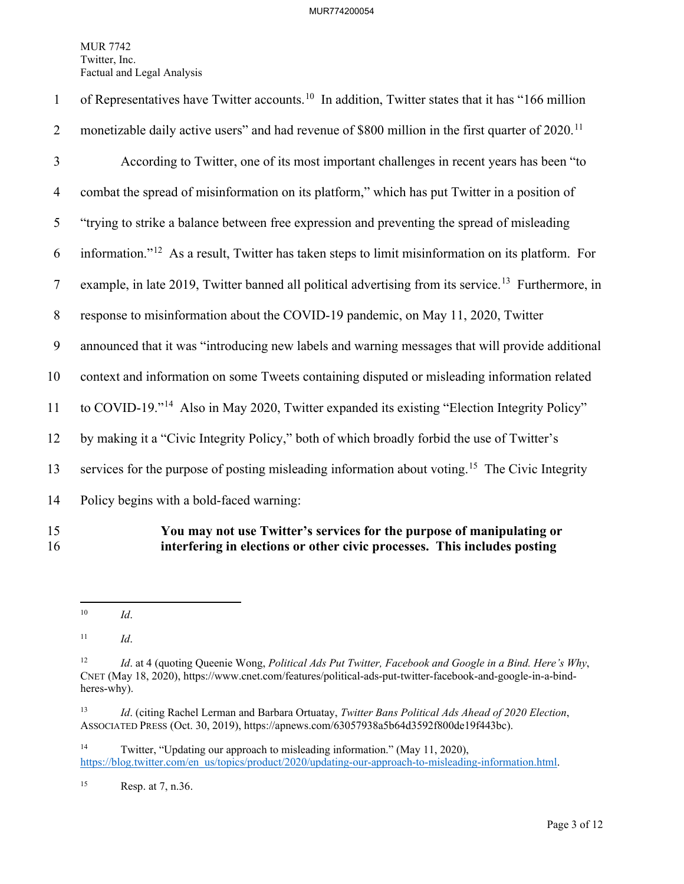| $\mathbf{1}$   | of Representatives have Twitter accounts. <sup>10</sup> In addition, Twitter states that it has "166 million    |
|----------------|-----------------------------------------------------------------------------------------------------------------|
| $\overline{2}$ | monetizable daily active users" and had revenue of \$800 million in the first quarter of 2020. <sup>11</sup>    |
| 3              | According to Twitter, one of its most important challenges in recent years has been "to                         |
| $\overline{4}$ | combat the spread of misinformation on its platform," which has put Twitter in a position of                    |
| 5              | "trying to strike a balance between free expression and preventing the spread of misleading                     |
| 6              | information." <sup>12</sup> As a result, Twitter has taken steps to limit misinformation on its platform. For   |
| $\tau$         | example, in late 2019, Twitter banned all political advertising from its service. <sup>13</sup> Furthermore, in |
| $\,8\,$        | response to misinformation about the COVID-19 pandemic, on May 11, 2020, Twitter                                |
| 9              | announced that it was "introducing new labels and warning messages that will provide additional                 |
| 10             | context and information on some Tweets containing disputed or misleading information related                    |
| 11             | to COVID-19." <sup>14</sup> Also in May 2020, Twitter expanded its existing "Election Integrity Policy"         |
| 12             | by making it a "Civic Integrity Policy," both of which broadly forbid the use of Twitter's                      |
| 13             | services for the purpose of posting misleading information about voting. <sup>15</sup> The Civic Integrity      |
| 14             | Policy begins with a bold-faced warning:                                                                        |
| 15             | You may not use Twitter's services for the purpose of manipulating or                                           |

16 **interfering in elections or other civic processes. This includes posting** 

<span id="page-3-4"></span><sup>14</sup> Twitter, "Updating our approach to misleading information." (May 11, 2020), [https://blog.twitter.com/en\\_us/topics/product/2020/updating-our-approach-to-misleading-information.html.](https://blog.twitter.com/en_us/topics/product/2020/updating-our-approach-to-misleading-information.html)

<span id="page-3-5"></span>15 Resp. at 7, n.36.

<span id="page-3-0"></span><sup>10</sup> *Id*.

<span id="page-3-1"></span><sup>11</sup> *Id*.

<span id="page-3-2"></span><sup>12</sup> *Id*. at 4 (quoting Queenie Wong, *Political Ads Put Twitter, Facebook and Google in a Bind. Here's Why*, CNET (May 18, 2020), https://www.cnet.com/features/political-ads-put-twitter-facebook-and-google-in-a-bindheres-why).

<span id="page-3-3"></span><sup>13</sup> *Id*. (citing Rachel Lerman and Barbara Ortuatay, *Twitter Bans Political Ads Ahead of 2020 Election*, ASSOCIATED PRESS (Oct. 30, 2019), https://apnews.com/63057938a5b64d3592f800de19f443bc).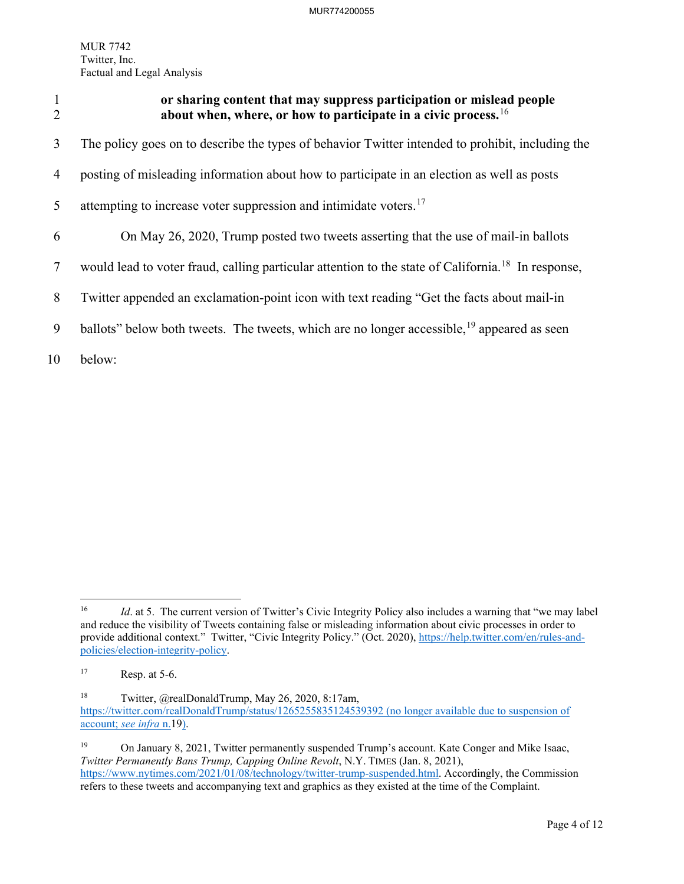<span id="page-4-0"></span>

| $\mathbf{1}$<br>$\overline{2}$ | or sharing content that may suppress participation or mislead people<br>about when, where, or how to participate in a civic process. $16$ |
|--------------------------------|-------------------------------------------------------------------------------------------------------------------------------------------|
| 3                              | The policy goes on to describe the types of behavior Twitter intended to prohibit, including the                                          |
| 4                              | posting of misleading information about how to participate in an election as well as posts                                                |
| 5                              | attempting to increase voter suppression and intimidate voters. <sup>17</sup>                                                             |
| 6                              | On May 26, 2020, Trump posted two tweets asserting that the use of mail-in ballots                                                        |
| 7                              | would lead to voter fraud, calling particular attention to the state of California. <sup>18</sup> In response,                            |
| 8                              | Twitter appended an exclamation-point icon with text reading "Get the facts about mail-in                                                 |
| 9                              | ballots" below both tweets. The tweets, which are no longer accessible, <sup>19</sup> appeared as seen                                    |
| 10                             | below:                                                                                                                                    |

<span id="page-4-1"></span><sup>&</sup>lt;sup>16</sup> *Id.* at 5. The current version of Twitter's Civic Integrity Policy also includes a warning that "we may label and reduce the visibility of Tweets containing false or misleading information about civic processes in order to provide additional context." Twitter, "Civic Integrity Policy." (Oct. 2020), [https://help.twitter.com/en/rules-and](https://help.twitter.com/en/rules-and-policies/election-integrity-policy)[policies/election-integrity-policy.](https://help.twitter.com/en/rules-and-policies/election-integrity-policy)

<span id="page-4-2"></span> $17$  Resp. at 5-6.

<span id="page-4-3"></span><sup>18</sup> Twitter, @realDonaldTrump, May 26, 2020, 8:17am, <https://twitter.com/realDonaldTrump/status/1265255835124539392> (no longer available due to suspension of account; *see infra* n[.19\)](#page-4-0).

<span id="page-4-4"></span><sup>&</sup>lt;sup>19</sup> On January 8, 2021, Twitter permanently suspended Trump's account. Kate Conger and Mike Isaac, *Twitter Permanently Bans Trump, Capping Online Revolt*, N.Y. TIMES (Jan. 8, 2021), [https://www.nytimes.com/2021/01/08/technology/twitter-trump-suspended.html.](https://www.nytimes.com/2021/01/08/technology/twitter-trump-suspended.html) Accordingly, the Commission refers to these tweets and accompanying text and graphics as they existed at the time of the Complaint.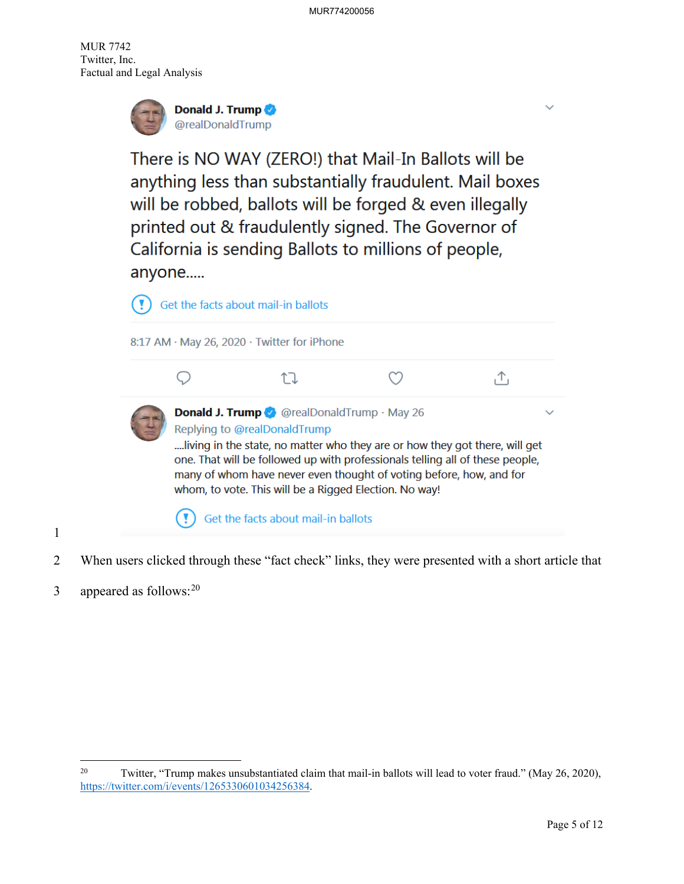

There is NO WAY (ZERO!) that Mail-In Ballots will be anything less than substantially fraudulent. Mail boxes will be robbed, ballots will be forged & even illegally printed out & fraudulently signed. The Governor of California is sending Ballots to millions of people, anyone.....



- 2 When users clicked through these "fact check" links, they were presented with a short article that
- 3 appeared as follows:  $20$

1

<span id="page-5-0"></span><sup>&</sup>lt;sup>20</sup> Twitter, "Trump makes unsubstantiated claim that mail-in ballots will lead to voter fraud." (May 26, 2020), [https://twitter.com/i/events/1265330601034256384.](https://twitter.com/i/events/1265330601034256384)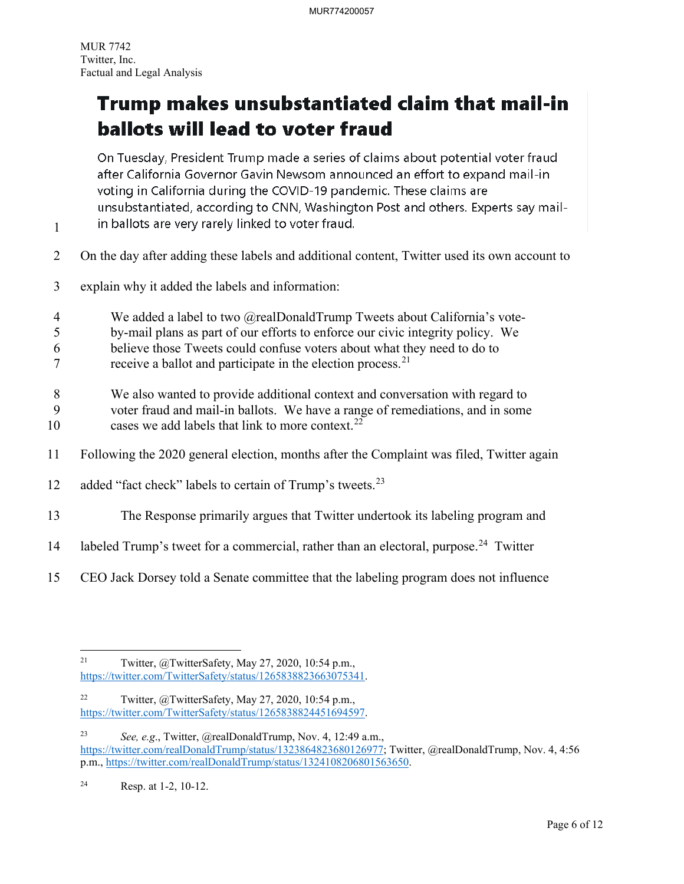1

## Trump makes unsubstantiated claim that mail-in ballots will lead to voter fraud

On Tuesday, President Trump made a series of claims about potential voter fraud after California Governor Gavin Newsom announced an effort to expand mail-in voting in California during the COVID-19 pandemic. These claims are unsubstantiated, according to CNN, Washington Post and others. Experts say mailin ballots are very rarely linked to voter fraud.

- 2 On the day after adding these labels and additional content, Twitter used its own account to
- 3 explain why it added the labels and information:
- 
- 4 We added a label to two @realDonaldTrump Tweets about California's vote-
- 5 by-mail plans as part of our efforts to enforce our civic integrity policy. We
- 6 believe those Tweets could confuse voters about what they need to do to
- $7$  receive a ballot and participate in the election process.<sup>[21](#page-6-0)</sup>
- 8 We also wanted to provide additional context and conversation with regard to
- 9 voter fraud and mail-in ballots. We have a range of remediations, and in some 10 cases we add labels that link to more context.<sup>[22](#page-6-1)</sup>
- 11 Following the 2020 general election, months after the Complaint was filed, Twitter again
- 12 added "fact check" labels to certain of Trump's tweets. $^{23}$  $^{23}$  $^{23}$
- 13 The Response primarily argues that Twitter undertook its labeling program and
- 14 labeled Trump's tweet for a commercial, rather than an electoral, purpose.<sup>[24](#page-6-3)</sup> Twitter
- 15 CEO Jack Dorsey told a Senate committee that the labeling program does not influence

<span id="page-6-0"></span><sup>&</sup>lt;sup>21</sup> Twitter,  $\omega$ TwitterSafety, May 27, 2020, 10:54 p.m., [https://twitter.com/TwitterSafety/status/1265838823663075341.](https://twitter.com/TwitterSafety/status/1265838823663075341)

<span id="page-6-1"></span><sup>&</sup>lt;sup>22</sup> Twitter, @TwitterSafety, May 27, 2020, 10:54 p.m., [https://twitter.com/TwitterSafety/status/1265838824451694597.](https://twitter.com/TwitterSafety/status/1265838824451694597)

<span id="page-6-2"></span><sup>23</sup> *See, e.g*., Twitter, @realDonaldTrump, Nov. 4, 12:49 a.m., [https://twitter.com/realDonaldTrump/status/1323864823680126977;](https://twitter.com/realDonaldTrump/status/1323864823680126977) Twitter, @realDonaldTrump, Nov. 4, 4:56 p.m., [https://twitter.com/realDonaldTrump/status/1324108206801563650.](https://twitter.com/realDonaldTrump/status/1324108206801563650)

<span id="page-6-3"></span><sup>24</sup> Resp. at 1-2, 10-12.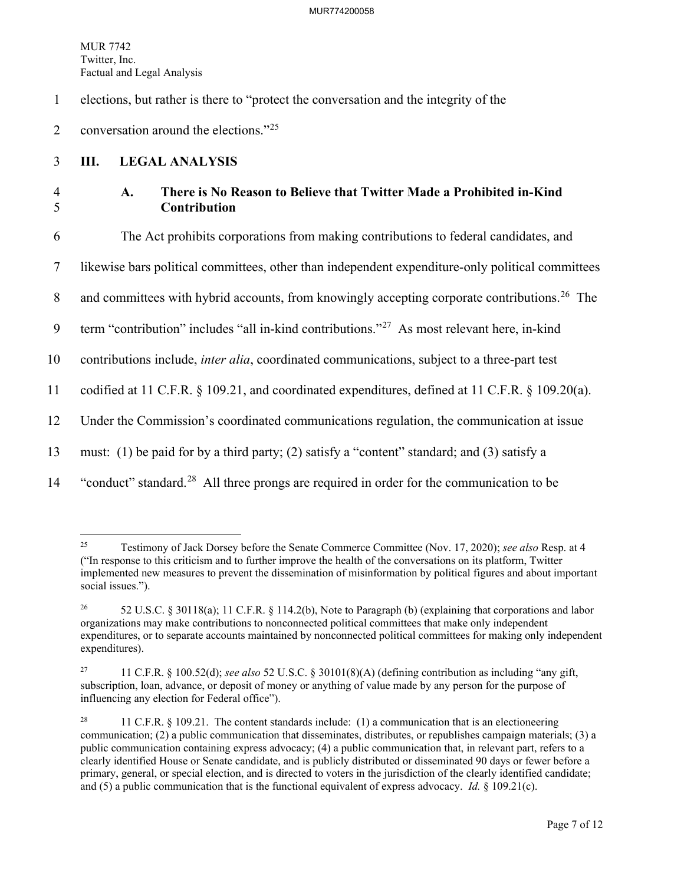#### MUR774200058

MUR 7742 Twitter, Inc. Factual and Legal Analysis

1 elections, but rather is there to "protect the conversation and the integrity of the

2 conversation around the elections." $2^{25}$  $2^{25}$  $2^{25}$ 

### 3 **III. LEGAL ANALYSIS**

### 4 **A. There is No Reason to Believe that Twitter Made a Prohibited in-Kind**  5 **Contribution**

6 The Act prohibits corporations from making contributions to federal candidates, and

7 likewise bars political committees, other than independent expenditure-only political committees

8 and committees with hybrid accounts, from knowingly accepting corporate contributions.<sup>[26](#page-7-1)</sup> The

9  $\text{term}$  "contribution" includes "all in-kind contributions."<sup>[27](#page-7-2)</sup> As most relevant here, in-kind

10 contributions include, *inter alia*, coordinated communications, subject to a three-part test

11 codified at 11 C.F.R. § 109.21, and coordinated expenditures, defined at 11 C.F.R. § 109.20(a).

12 Under the Commission's coordinated communications regulation, the communication at issue

13 must: (1) be paid for by a third party; (2) satisfy a "content" standard; and (3) satisfy a

<sup>14</sup> "conduct" standard.<sup>[28](#page-7-3)</sup> All three prongs are required in order for the communication to be

<span id="page-7-0"></span><sup>25</sup> Testimony of Jack Dorsey before the Senate Commerce Committee (Nov. 17, 2020); *see also* Resp. at 4 ("In response to this criticism and to further improve the health of the conversations on its platform, Twitter implemented new measures to prevent the dissemination of misinformation by political figures and about important social issues.").

<span id="page-7-1"></span><sup>26 52</sup> U.S.C. § 30118(a); 11 C.F.R. § 114.2(b), Note to Paragraph (b) (explaining that corporations and labor organizations may make contributions to nonconnected political committees that make only independent expenditures, or to separate accounts maintained by nonconnected political committees for making only independent expenditures).

<span id="page-7-2"></span><sup>27 11</sup> C.F.R. § 100.52(d); *see also* 52 U.S.C. § 30101(8)(A) (defining contribution as including "any gift, subscription, loan, advance, or deposit of money or anything of value made by any person for the purpose of influencing any election for Federal office").

<span id="page-7-3"></span><sup>&</sup>lt;sup>28</sup> 11 C.F.R. § 109.21. The content standards include: (1) a communication that is an electioneering communication; (2) a public communication that disseminates, distributes, or republishes campaign materials; (3) a public communication containing express advocacy; (4) a public communication that, in relevant part, refers to a clearly identified House or Senate candidate, and is publicly distributed or disseminated 90 days or fewer before a primary, general, or special election, and is directed to voters in the jurisdiction of the clearly identified candidate; and (5) a public communication that is the functional equivalent of express advocacy. *Id.* § 109.21(c).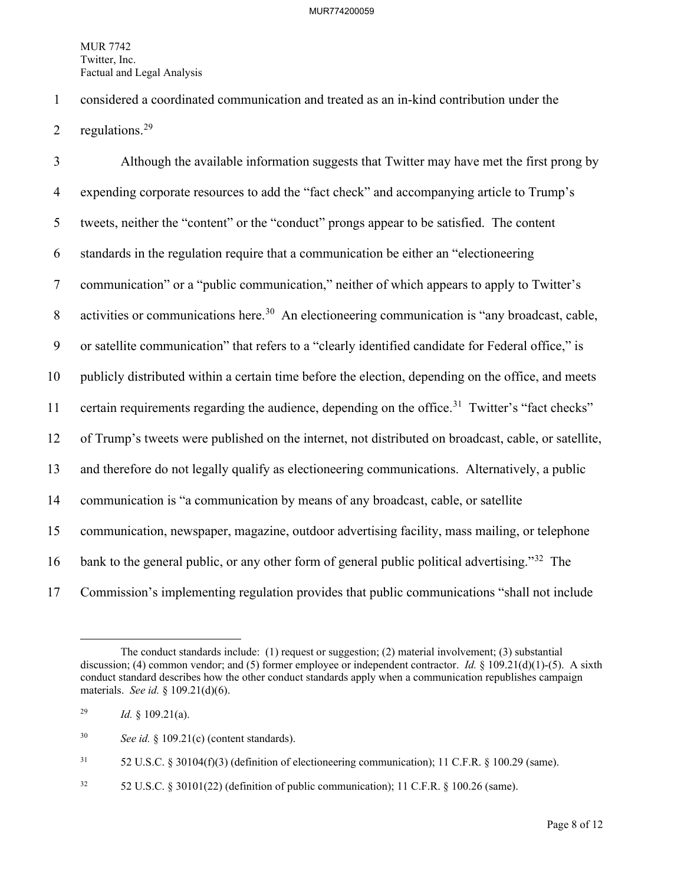1 considered a coordinated communication and treated as an in-kind contribution under the

2 regulations. $29$ 

3 Although the available information suggests that Twitter may have met the first prong by 4 expending corporate resources to add the "fact check" and accompanying article to Trump's 5 tweets, neither the "content" or the "conduct" prongs appear to be satisfied. The content 6 standards in the regulation require that a communication be either an "electioneering 7 communication" or a "public communication," neither of which appears to apply to Twitter's 8 activities or communications here.<sup>[30](#page-8-1)</sup> An electioneering communication is "any broadcast, cable, 9 or satellite communication" that refers to a "clearly identified candidate for Federal office," is 10 publicly distributed within a certain time before the election, depending on the office, and meets 11 certain requirements regarding the audience, depending on the office.<sup>[31](#page-8-2)</sup> Twitter's "fact checks" 12 of Trump's tweets were published on the internet, not distributed on broadcast, cable, or satellite, 13 and therefore do not legally qualify as electioneering communications. Alternatively, a public 14 communication is "a communication by means of any broadcast, cable, or satellite 15 communication, newspaper, magazine, outdoor advertising facility, mass mailing, or telephone 16 bank to the general public, or any other form of general public political advertising."<sup>[32](#page-8-3)</sup> The 17 Commission's implementing regulation provides that public communications "shall not include

<span id="page-8-2"></span> $31$  52 U.S.C. § 30104(f)(3) (definition of electioneering communication); 11 C.F.R. § 100.29 (same).

<span id="page-8-3"></span><sup>32</sup> 52 U.S.C. § 30101(22) (definition of public communication); 11 C.F.R. § 100.26 (same).

The conduct standards include: (1) request or suggestion; (2) material involvement; (3) substantial discussion; (4) common vendor; and (5) former employee or independent contractor. *Id.* § 109.21(d)(1)-(5). A sixth conduct standard describes how the other conduct standards apply when a communication republishes campaign materials. *See id.* § 109.21(d)(6).

<span id="page-8-0"></span><sup>&</sup>lt;sup>29</sup> *Id.* § 109.21(a).

<span id="page-8-1"></span><sup>30</sup> *See id.* § 109.21(c) (content standards).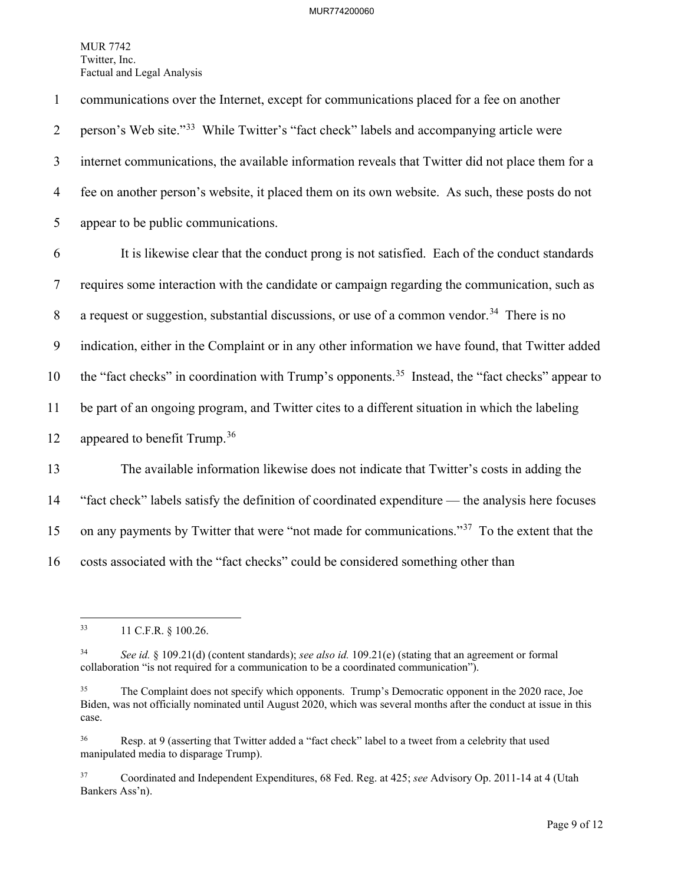1 communications over the Internet, except for communications placed for a fee on another 2 person's Web site."<sup>[33](#page-9-0)</sup> While Twitter's "fact check" labels and accompanying article were 3 internet communications, the available information reveals that Twitter did not place them for a 4 fee on another person's website, it placed them on its own website. As such, these posts do not 5 appear to be public communications. 6 It is likewise clear that the conduct prong is not satisfied. Each of the conduct standards 7 requires some interaction with the candidate or campaign regarding the communication, such as

8 a request or suggestion, substantial discussions, or use of a common vendor.<sup>[34](#page-9-1)</sup> There is no

9 indication, either in the Complaint or in any other information we have found, that Twitter added

10 the "fact checks" in coordination with Trump's opponents.<sup>35</sup> Instead, the "fact checks" appear to

11 be part of an ongoing program, and Twitter cites to a different situation in which the labeling

12 appeared to benefit Trump.<sup>[36](#page-9-3)</sup>

13 The available information likewise does not indicate that Twitter's costs in adding the 14 "fact check" labels satisfy the definition of coordinated expenditure — the analysis here focuses 15 on any payments by Twitter that were "not made for communications."<sup>[37](#page-9-4)</sup> To the extent that the 16 costs associated with the "fact checks" could be considered something other than

<span id="page-9-0"></span><sup>33 11</sup> C.F.R. § 100.26.

<span id="page-9-1"></span><sup>34</sup> *See id.* § 109.21(d) (content standards); *see also id.* 109.21(e) (stating that an agreement or formal collaboration "is not required for a communication to be a coordinated communication").

<span id="page-9-2"></span><sup>&</sup>lt;sup>35</sup> The Complaint does not specify which opponents. Trump's Democratic opponent in the 2020 race, Joe Biden, was not officially nominated until August 2020, which was several months after the conduct at issue in this case.

<span id="page-9-3"></span><sup>&</sup>lt;sup>36</sup> Resp. at 9 (asserting that Twitter added a "fact check" label to a tweet from a celebrity that used manipulated media to disparage Trump).

<span id="page-9-4"></span><sup>37</sup> Coordinated and Independent Expenditures, 68 Fed. Reg. at 425; *see* Advisory Op. 2011-14 at 4 (Utah Bankers Ass'n).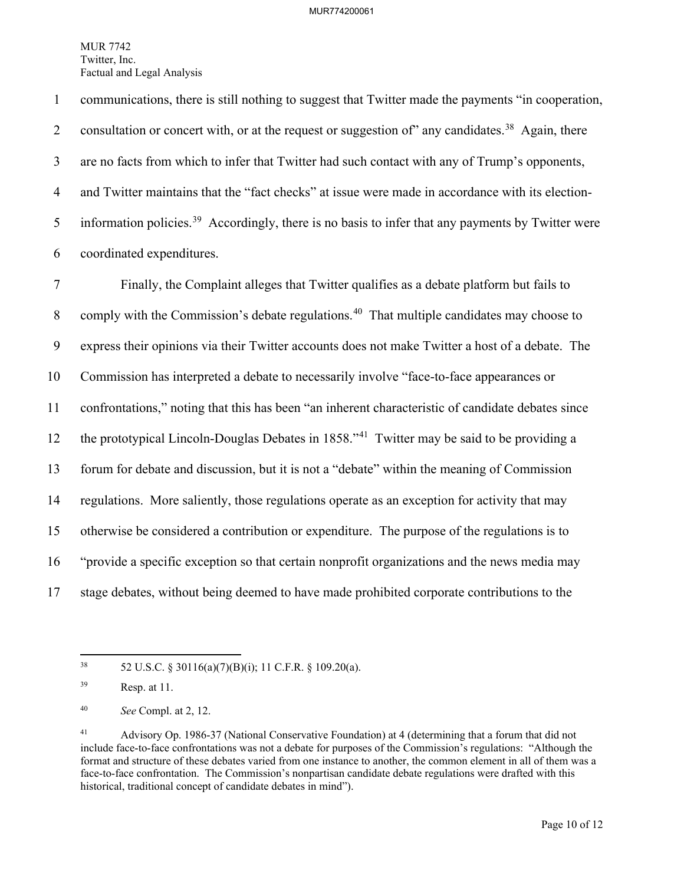1 communications, there is still nothing to suggest that Twitter made the payments "in cooperation, 2 consultation or concert with, or at the request or suggestion of any candidates.<sup>[38](#page-10-0)</sup> Again, there 3 are no facts from which to infer that Twitter had such contact with any of Trump's opponents, 4 and Twitter maintains that the "fact checks" at issue were made in accordance with its election-5 information policies.<sup>39</sup> Accordingly, there is no basis to infer that any payments by Twitter were 6 coordinated expenditures.

7 Finally, the Complaint alleges that Twitter qualifies as a debate platform but fails to 8 comply with the Commission's debate regulations.<sup>[40](#page-10-2)</sup> That multiple candidates may choose to 9 express their opinions via their Twitter accounts does not make Twitter a host of a debate. The 10 Commission has interpreted a debate to necessarily involve "face-to-face appearances or 11 confrontations," noting that this has been "an inherent characteristic of candidate debates since 12 the prototypical Lincoln-Douglas Debates in  $1858.^{41}$  $1858.^{41}$  $1858.^{41}$  Twitter may be said to be providing a 13 forum for debate and discussion, but it is not a "debate" within the meaning of Commission 14 regulations. More saliently, those regulations operate as an exception for activity that may 15 otherwise be considered a contribution or expenditure. The purpose of the regulations is to 16 "provide a specific exception so that certain nonprofit organizations and the news media may 17 stage debates, without being deemed to have made prohibited corporate contributions to the

<span id="page-10-0"></span><sup>38 52</sup> U.S.C. § 30116(a)(7)(B)(i); 11 C.F.R. § 109.20(a).

<span id="page-10-1"></span><sup>39</sup> Resp. at 11.

<span id="page-10-2"></span><sup>40</sup> *See* Compl. at 2, 12.

<span id="page-10-3"></span><sup>41</sup> Advisory Op. 1986-37 (National Conservative Foundation) at 4 (determining that a forum that did not include face-to-face confrontations was not a debate for purposes of the Commission's regulations: "Although the format and structure of these debates varied from one instance to another, the common element in all of them was a face-to-face confrontation. The Commission's nonpartisan candidate debate regulations were drafted with this historical, traditional concept of candidate debates in mind").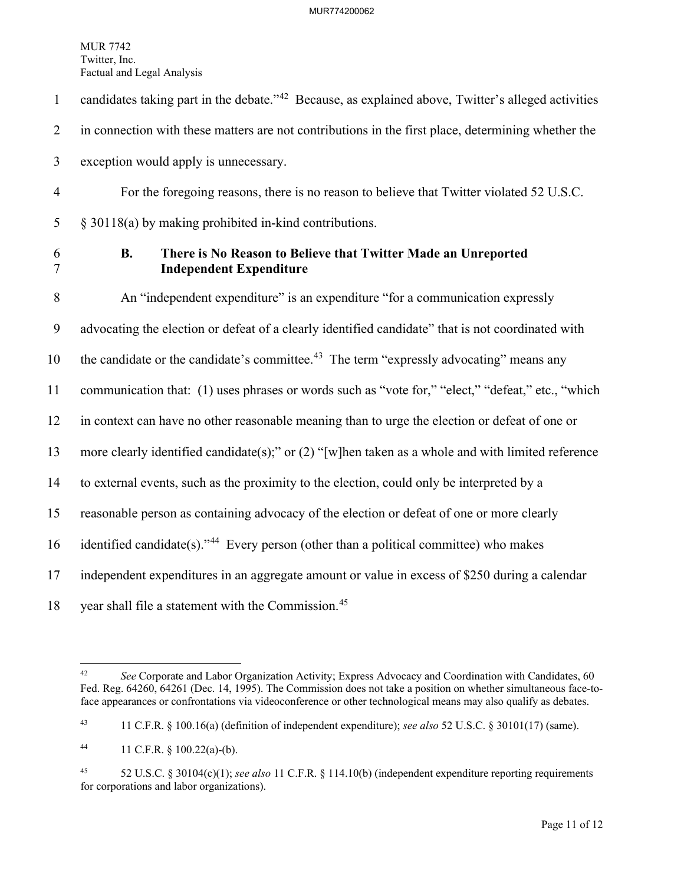- 1 candidates taking part in the debate." $42$  Because, as explained above, Twitter's alleged activities 2 in connection with these matters are not contributions in the first place, determining whether the 3 exception would apply is unnecessary.
- 4 For the foregoing reasons, there is no reason to believe that Twitter violated 52 U.S.C. 5 § 30118(a) by making prohibited in-kind contributions.
- 

### 6 **B. There is No Reason to Believe that Twitter Made an Unreported**  7 **Independent Expenditure**

8 An "independent expenditure" is an expenditure "for a communication expressly 9 advocating the election or defeat of a clearly identified candidate" that is not coordinated with 10 the candidate or the candidate's committee.<sup>[43](#page-11-1)</sup> The term "expressly advocating" means any 11 communication that: (1) uses phrases or words such as "vote for," "elect," "defeat," etc., "which 12 in context can have no other reasonable meaning than to urge the election or defeat of one or 13 more clearly identified candidate(s);" or (2) "[w]hen taken as a whole and with limited reference 14 to external events, such as the proximity to the election, could only be interpreted by a 15 reasonable person as containing advocacy of the election or defeat of one or more clearly 16 identified candidate(s)."<sup>44</sup> Every person (other than a political committee) who makes 17 independent expenditures in an aggregate amount or value in excess of \$250 during a calendar

18 vear shall file a statement with the Commission.<sup>[45](#page-11-3)</sup>

<span id="page-11-0"></span><sup>&</sup>lt;sup>42</sup> *See* Corporate and Labor Organization Activity; Express Advocacy and Coordination with Candidates, 60 Fed. Reg. 64260, 64261 (Dec. 14, 1995). The Commission does not take a position on whether simultaneous face-toface appearances or confrontations via videoconference or other technological means may also qualify as debates.

<span id="page-11-1"></span><sup>43 11</sup> C.F.R. § 100.16(a) (definition of independent expenditure); *see also* 52 U.S.C. § 30101(17) (same).

<span id="page-11-2"></span><sup>44 11</sup> C.F.R. § 100.22(a)-(b).

<span id="page-11-3"></span><sup>45 52</sup> U.S.C. § 30104(c)(1); *see also* 11 C.F.R. § 114.10(b) (independent expenditure reporting requirements for corporations and labor organizations).